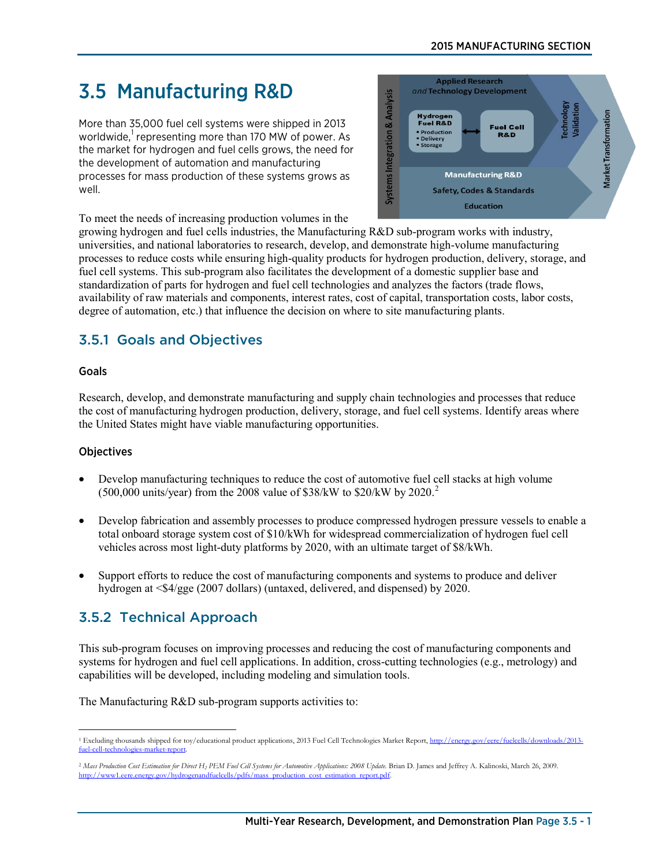#### 2015 MANUFACTURING SECTION

# 3.5 Manufacturing R&D

More than 35,000 fuel cell systems were shipped in 2013 worldwide,<sup>[1](#page-0-0)</sup> representing more than 170 MW of power. As the market for hydrogen and fuel cells grows, the need for the development of automation and manufacturing processes for mass production of these systems grows as well.



To meet the needs of increasing production volumes in the

growing hydrogen and fuel cells industries, the Manufacturing R&D sub-program works with industry, universities, and national laboratories to research, develop, and demonstrate high-volume manufacturing processes to reduce costs while ensuring high-quality products for hydrogen production, delivery, storage, and fuel cell systems. This sub-program also facilitates the development of a domestic supplier base and standardization of parts for hydrogen and fuel cell technologies and analyzes the factors (trade flows, availability of raw materials and components, interest rates, cost of capital, transportation costs, labor costs, degree of automation, etc.) that influence the decision on where to site manufacturing plants.

# 3.5.1 Goals and Objectives

#### Goals

Research, develop, and demonstrate manufacturing and supply chain technologies and processes that reduce the cost of manufacturing hydrogen production, delivery, storage, and fuel cell systems. Identify areas where the United States might have viable manufacturing opportunities.

#### **Objectives**

- Develop manufacturing techniques to reduce the cost of automotive fuel cell stacks at high volume  $(500,000 \text{ units/year})$  from the [2](#page-0-1)008 value of \$38/kW to \$20/kW by 2020.<sup>2</sup>
- Develop fabrication and assembly processes to produce compressed hydrogen pressure vessels to enable a total onboard storage system cost of \$10/kWh for widespread commercialization of hydrogen fuel cell vehicles across most light-duty platforms by 2020, with an ultimate target of \$8/kWh.
- Support efforts to reduce the cost of manufacturing components and systems to produce and deliver hydrogen at <\$4/gge (2007 dollars) (untaxed, delivered, and dispensed) by 2020.

# 3.5.2 Technical Approach

This sub-program focuses on improving processes and reducing the cost of manufacturing components and systems for hydrogen and fuel cell applications. In addition, cross-cutting technologies (e.g., metrology) and capabilities will be developed, including modeling and simulation tools.

The Manufacturing R&D sub-program supports activities to:

<span id="page-0-0"></span> $\overline{a}$ <sup>1</sup> Excluding thousands shipped for toy/educational product applications, 2013 Fuel Cell Technologies Market Report, [http://energy.gov/eere/fuelcells/downloads/2013](http://energy.gov/eere/fuelcells/downloads/2013-fuel-cell-technologies-market-report) [fuel-cell-technologies-market-report.](http://energy.gov/eere/fuelcells/downloads/2013-fuel-cell-technologies-market-report)

<span id="page-0-1"></span><sup>2</sup> *Mass Production Cost Estimation for Direct H2 PEM Fuel Cell Systems for Automotive Applications: 2008 Update.* Brian D. James and Jeffrey A. Kalinoski, March 26, 2009. http://www1.eere.energy.gov/hydrogenandfuelcells/pdfs/mass\_production\_cost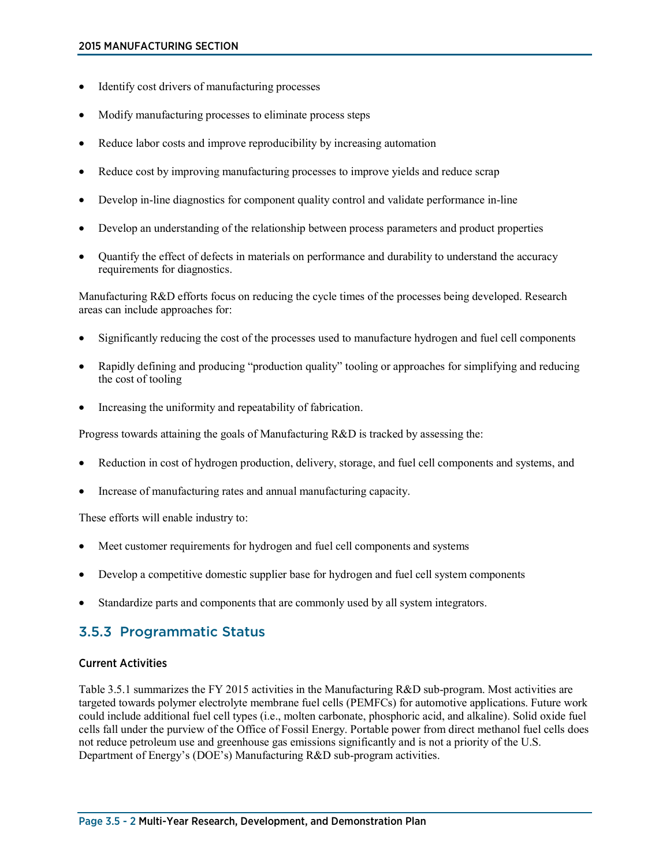- Identify cost drivers of manufacturing processes
- Modify manufacturing processes to eliminate process steps
- Reduce labor costs and improve reproducibility by increasing automation
- Reduce cost by improving manufacturing processes to improve yields and reduce scrap
- Develop in-line diagnostics for component quality control and validate performance in-line
- Develop an understanding of the relationship between process parameters and product properties
- Quantify the effect of defects in materials on performance and durability to understand the accuracy requirements for diagnostics.

Manufacturing R&D efforts focus on reducing the cycle times of the processes being developed. Research areas can include approaches for:

- Significantly reducing the cost of the processes used to manufacture hydrogen and fuel cell components
- Rapidly defining and producing "production quality" tooling or approaches for simplifying and reducing the cost of tooling
- Increasing the uniformity and repeatability of fabrication.

Progress towards attaining the goals of Manufacturing R&D is tracked by assessing the:

- Reduction in cost of hydrogen production, delivery, storage, and fuel cell components and systems, and
- Increase of manufacturing rates and annual manufacturing capacity.

These efforts will enable industry to:

- Meet customer requirements for hydrogen and fuel cell components and systems
- Develop a competitive domestic supplier base for hydrogen and fuel cell system components
- Standardize parts and components that are commonly used by all system integrators.

### 3.5.3 Programmatic Status

#### Current Activities

Table 3.5.1 summarizes the FY 2015 activities in the Manufacturing R&D sub-program. Most activities are targeted towards polymer electrolyte membrane fuel cells (PEMFCs) for automotive applications. Future work could include additional fuel cell types (i.e., molten carbonate, phosphoric acid, and alkaline). Solid oxide fuel cells fall under the purview of the Office of Fossil Energy. Portable power from direct methanol fuel cells does not reduce petroleum use and greenhouse gas emissions significantly and is not a priority of the U.S. Department of Energy's (DOE's) Manufacturing R&D sub-program activities.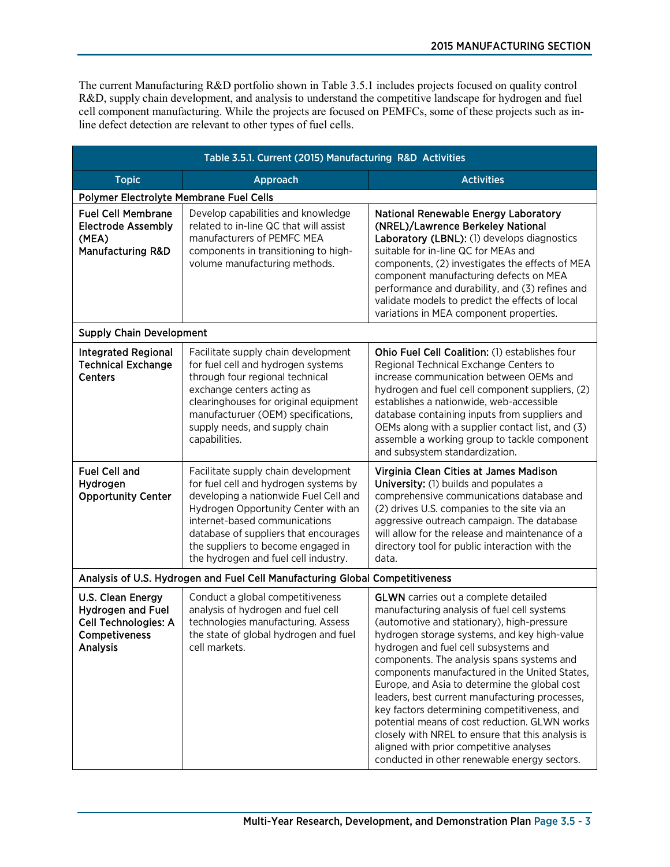The current Manufacturing R&D portfolio shown in Table 3.5.1 includes projects focused on quality control R&D, supply chain development, and analysis to understand the competitive landscape for hydrogen and fuel cell component manufacturing. While the projects are focused on PEMFCs, some of these projects such as inline defect detection are relevant to other types of fuel cells.

| Table 3.5.1. Current (2015) Manufacturing R&D Activities                                           |                                                                                                                                                                                                                                                                                                                      |                                                                                                                                                                                                                                                                                                                                                                                                                                                                                                                                                                                                                                                                                      |
|----------------------------------------------------------------------------------------------------|----------------------------------------------------------------------------------------------------------------------------------------------------------------------------------------------------------------------------------------------------------------------------------------------------------------------|--------------------------------------------------------------------------------------------------------------------------------------------------------------------------------------------------------------------------------------------------------------------------------------------------------------------------------------------------------------------------------------------------------------------------------------------------------------------------------------------------------------------------------------------------------------------------------------------------------------------------------------------------------------------------------------|
| <b>Topic</b>                                                                                       | <b>Approach</b>                                                                                                                                                                                                                                                                                                      | <b>Activities</b>                                                                                                                                                                                                                                                                                                                                                                                                                                                                                                                                                                                                                                                                    |
| Polymer Electrolyte Membrane Fuel Cells                                                            |                                                                                                                                                                                                                                                                                                                      |                                                                                                                                                                                                                                                                                                                                                                                                                                                                                                                                                                                                                                                                                      |
| <b>Fuel Cell Membrane</b><br><b>Electrode Assembly</b><br>(MEA)<br><b>Manufacturing R&amp;D</b>    | Develop capabilities and knowledge<br>related to in-line QC that will assist<br>manufacturers of PEMFC MEA<br>components in transitioning to high-<br>volume manufacturing methods.                                                                                                                                  | National Renewable Energy Laboratory<br>(NREL)/Lawrence Berkeley National<br>Laboratory (LBNL): (1) develops diagnostics<br>suitable for in-line QC for MEAs and<br>components, (2) investigates the effects of MEA<br>component manufacturing defects on MEA<br>performance and durability, and (3) refines and<br>validate models to predict the effects of local<br>variations in MEA component properties.                                                                                                                                                                                                                                                                       |
| <b>Supply Chain Development</b>                                                                    |                                                                                                                                                                                                                                                                                                                      |                                                                                                                                                                                                                                                                                                                                                                                                                                                                                                                                                                                                                                                                                      |
| <b>Integrated Regional</b><br><b>Technical Exchange</b><br><b>Centers</b>                          | Facilitate supply chain development<br>for fuel cell and hydrogen systems<br>through four regional technical<br>exchange centers acting as<br>clearinghouses for original equipment<br>manufacturuer (OEM) specifications,<br>supply needs, and supply chain<br>capabilities.                                        | Ohio Fuel Cell Coalition: (1) establishes four<br>Regional Technical Exchange Centers to<br>increase communication between OEMs and<br>hydrogen and fuel cell component suppliers, (2)<br>establishes a nationwide, web-accessible<br>database containing inputs from suppliers and<br>OEMs along with a supplier contact list, and (3)<br>assemble a working group to tackle component<br>and subsystem standardization.                                                                                                                                                                                                                                                            |
| <b>Fuel Cell and</b><br>Hydrogen<br><b>Opportunity Center</b>                                      | Facilitate supply chain development<br>for fuel cell and hydrogen systems by<br>developing a nationwide Fuel Cell and<br>Hydrogen Opportunity Center with an<br>internet-based communications<br>database of suppliers that encourages<br>the suppliers to become engaged in<br>the hydrogen and fuel cell industry. | Virginia Clean Cities at James Madison<br>University: (1) builds and populates a<br>comprehensive communications database and<br>(2) drives U.S. companies to the site via an<br>aggressive outreach campaign. The database<br>will allow for the release and maintenance of a<br>directory tool for public interaction with the<br>data.                                                                                                                                                                                                                                                                                                                                            |
|                                                                                                    | Analysis of U.S. Hydrogen and Fuel Cell Manufacturing Global Competitiveness                                                                                                                                                                                                                                         |                                                                                                                                                                                                                                                                                                                                                                                                                                                                                                                                                                                                                                                                                      |
| U.S. Clean Energy<br>Hydrogen and Fuel<br>Cell Technologies: A<br>Competiveness<br><b>Analysis</b> | Conduct a global competitiveness<br>analysis of hydrogen and fuel cell<br>technologies manufacturing. Assess<br>the state of global hydrogen and fuel<br>cell markets.                                                                                                                                               | <b>GLWN</b> carries out a complete detailed<br>manufacturing analysis of fuel cell systems<br>(automotive and stationary), high-pressure<br>hydrogen storage systems, and key high-value<br>hydrogen and fuel cell subsystems and<br>components. The analysis spans systems and<br>components manufactured in the United States,<br>Europe, and Asia to determine the global cost<br>leaders, best current manufacturing processes,<br>key factors determining competitiveness, and<br>potential means of cost reduction. GLWN works<br>closely with NREL to ensure that this analysis is<br>aligned with prior competitive analyses<br>conducted in other renewable energy sectors. |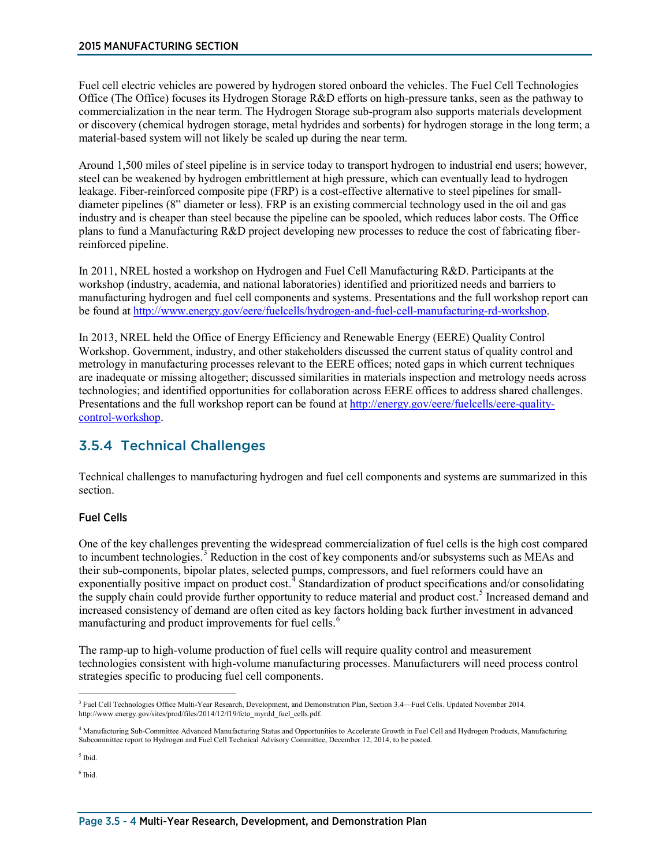Fuel cell electric vehicles are powered by hydrogen stored onboard the vehicles. The Fuel Cell Technologies Office (The Office) focuses its Hydrogen Storage R&D efforts on high-pressure tanks, seen as the pathway to commercialization in the near term. The Hydrogen Storage sub-program also supports materials development or discovery (chemical hydrogen storage, metal hydrides and sorbents) for hydrogen storage in the long term; a material-based system will not likely be scaled up during the near term.

Around 1,500 miles of steel pipeline is in service today to transport hydrogen to industrial end users; however, steel can be weakened by hydrogen embrittlement at high pressure, which can eventually lead to hydrogen leakage. Fiber-reinforced composite pipe (FRP) is a cost-effective alternative to steel pipelines for smalldiameter pipelines (8" diameter or less). FRP is an existing commercial technology used in the oil and gas industry and is cheaper than steel because the pipeline can be spooled, which reduces labor costs. The Office plans to fund a Manufacturing R&D project developing new processes to reduce the cost of fabricating fiberreinforced pipeline.

In 2011, NREL hosted a workshop on Hydrogen and Fuel Cell Manufacturing R&D. Participants at the workshop (industry, academia, and national laboratories) identified and prioritized needs and barriers to manufacturing hydrogen and fuel cell components and systems. Presentations and the full workshop report can be found at [http://www.energy.gov/eere/fuelcells/hydrogen-and-fuel-cell-manufacturing-rd-workshop.](http://www.energy.gov/eere/fuelcells/hydrogen-and-fuel-cell-manufacturing-rd-workshop)

In 2013, NREL held the Office of Energy Efficiency and Renewable Energy (EERE) Quality Control Workshop. Government, industry, and other stakeholders discussed the current status of quality control and metrology in manufacturing processes relevant to the EERE offices; noted gaps in which current techniques are inadequate or missing altogether; discussed similarities in materials inspection and metrology needs across technologies; and identified opportunities for collaboration across EERE offices to address shared challenges. Presentations and the full workshop report can be found at [http://energy.gov/eere/fuelcells/eere-quality](http://energy.gov/eere/fuelcells/eere-quality-control-workshop)[control-workshop.](http://energy.gov/eere/fuelcells/eere-quality-control-workshop)

# 3.5.4 Technical Challenges

Technical challenges to manufacturing hydrogen and fuel cell components and systems are summarized in this section.

### Fuel Cells

One of the key challenges preventing the widespread commercialization of fuel cells is the high cost compared to incumbent technologies.<sup>[3](#page-3-0)</sup> Reduction in the cost of key components and/or subsystems such as MEAs and their sub-components, bipolar plates, selected pumps, compressors, and fuel reformers could have an exponentially positive impact on product cost.<sup>[4](#page-3-1)</sup> Standardization of product specifications and/or consolidating the supply chain could provide further opportunity to reduce material and product cost. [5](#page-3-2) Increased demand and increased consistency of demand are often cited as key factors holding back further investment in advanced manufacturing and product improvements for fuel cells.<sup>[6](#page-3-3)</sup>

The ramp-up to high-volume production of fuel cells will require quality control and measurement technologies consistent with high-volume manufacturing processes. Manufacturers will need process control strategies specific to producing fuel cell components.

<span id="page-3-0"></span> <sup>3</sup> Fuel Cell Technologies Office Multi-Year Research, Development, and Demonstration Plan, Section 3.4—Fuel Cells. Updated November 2014. [http://www.energy.gov/sites/prod/files/2014/12/f19/fcto\\_myrdd\\_fuel\\_cells.pdf.](http://www.energy.gov/sites/prod/files/2014/12/f19/fcto_myrdd_fuel_cells.pdf)

<span id="page-3-1"></span><sup>4</sup> Manufacturing Sub-Committee Advanced Manufacturing Status and Opportunities to Accelerate Growth in Fuel Cell and Hydrogen Products, Manufacturing Subcommittee report to Hydrogen and Fuel Cell Technical Advisory Committee, December 12, 2014, to be posted.

<span id="page-3-2"></span><sup>5</sup> Ibid.

<span id="page-3-3"></span><sup>6</sup> Ibid.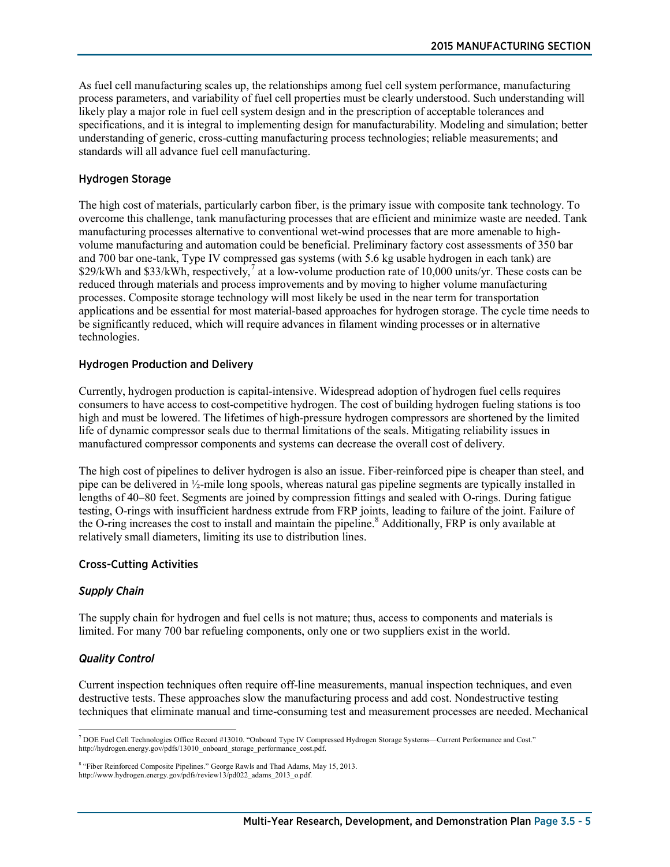As fuel cell manufacturing scales up, the relationships among fuel cell system performance, manufacturing process parameters, and variability of fuel cell properties must be clearly understood. Such understanding will likely play a major role in fuel cell system design and in the prescription of acceptable tolerances and specifications, and it is integral to implementing design for manufacturability. Modeling and simulation; better understanding of generic, cross-cutting manufacturing process technologies; reliable measurements; and standards will all advance fuel cell manufacturing.

#### Hydrogen Storage

The high cost of materials, particularly carbon fiber, is the primary issue with composite tank technology. To overcome this challenge, tank manufacturing processes that are efficient and minimize waste are needed. Tank manufacturing processes alternative to conventional wet-wind processes that are more amenable to highvolume manufacturing and automation could be beneficial. Preliminary factory cost assessments of 350 bar and 700 bar one-tank, Type IV compressed gas systems (with 5.6 kg usable hydrogen in each tank) are \$29/kWh and \$33/kWh, respectively,<sup>[7](#page-4-0)</sup> at a low-volume production rate of 10,000 units/yr. These costs can be reduced through materials and process improvements and by moving to higher volume manufacturing processes. Composite storage technology will most likely be used in the near term for transportation applications and be essential for most material-based approaches for hydrogen storage. The cycle time needs to be significantly reduced, which will require advances in filament winding processes or in alternative technologies.

#### Hydrogen Production and Delivery

Currently, hydrogen production is capital-intensive. Widespread adoption of hydrogen fuel cells requires consumers to have access to cost-competitive hydrogen. The cost of building hydrogen fueling stations is too high and must be lowered. The lifetimes of high-pressure hydrogen compressors are shortened by the limited life of dynamic compressor seals due to thermal limitations of the seals. Mitigating reliability issues in manufactured compressor components and systems can decrease the overall cost of delivery.

The high cost of pipelines to deliver hydrogen is also an issue. Fiber-reinforced pipe is cheaper than steel, and pipe can be delivered in ½-mile long spools, whereas natural gas pipeline segments are typically installed in lengths of 40–80 feet. Segments are joined by compression fittings and sealed with O-rings. During fatigue testing, O-rings with insufficient hardness extrude from FRP joints, leading to failure of the joint. Failure of the O-ring increases the cost to install and maintain the pipeline.<sup>[8](#page-4-1)</sup> Additionally, FRP is only available at relatively small diameters, limiting its use to distribution lines.

#### Cross-Cutting Activities

#### *Supply Chain*

The supply chain for hydrogen and fuel cells is not mature; thus, access to components and materials is limited. For many 700 bar refueling components, only one or two suppliers exist in the world.

#### *Quality Control*

Current inspection techniques often require off-line measurements, manual inspection techniques, and even destructive tests. These approaches slow the manufacturing process and add cost. Nondestructive testing techniques that eliminate manual and time-consuming test and measurement processes are needed. Mechanical

<span id="page-4-0"></span> <sup>7</sup> DOE Fuel Cell Technologies Office Record #13010. "Onboard Type IV Compressed Hydrogen Storage Systems—Current Performance and Cost." [http://hydrogen.energy.gov/pdfs/13010\\_onboard\\_storage\\_performance\\_cost.pdf.](http://hydrogen.energy.gov/pdfs/13010_onboard_storage_performance_cost.pdf)

<span id="page-4-1"></span><sup>8</sup> "Fiber Reinforced Composite Pipelines." George Rawls and Thad Adams, May 15, 2013. [http://www.hydrogen.energy.gov/pdfs/review13/pd022\\_adams\\_2013\\_o.pdf.](http://www.hydrogen.energy.gov/pdfs/review13/pd022_adams_2013_o.pdf)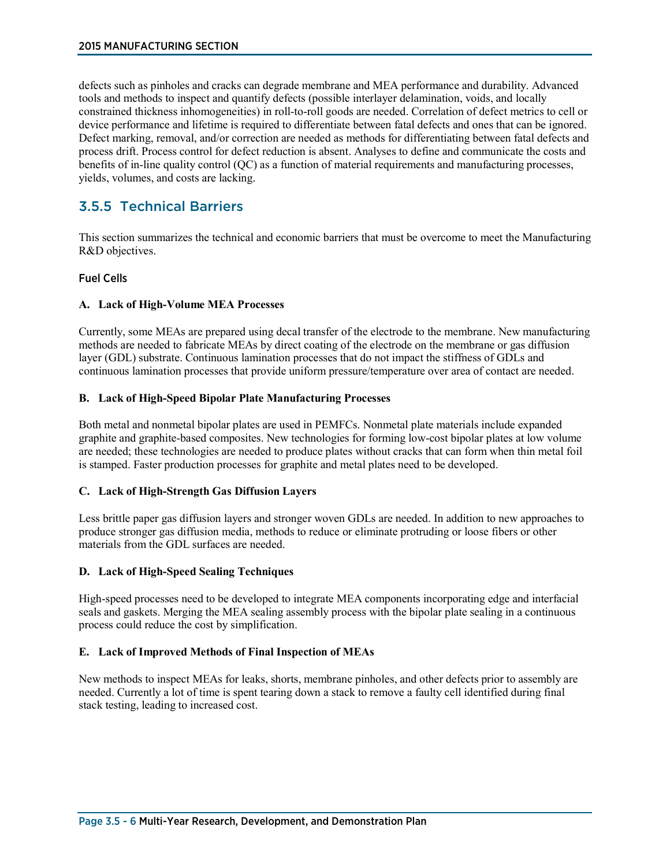defects such as pinholes and cracks can degrade membrane and MEA performance and durability. Advanced tools and methods to inspect and quantify defects (possible interlayer delamination, voids, and locally constrained thickness inhomogeneities) in roll-to-roll goods are needed. Correlation of defect metrics to cell or device performance and lifetime is required to differentiate between fatal defects and ones that can be ignored. Defect marking, removal, and/or correction are needed as methods for differentiating between fatal defects and process drift. Process control for defect reduction is absent. Analyses to define and communicate the costs and benefits of in-line quality control (QC) as a function of material requirements and manufacturing processes, yields, volumes, and costs are lacking.

# 3.5.5 Technical Barriers

This section summarizes the technical and economic barriers that must be overcome to meet the Manufacturing R&D objectives.

#### Fuel Cells

#### **A. Lack of High-Volume MEA Processes**

Currently, some MEAs are prepared using decal transfer of the electrode to the membrane. New manufacturing methods are needed to fabricate MEAs by direct coating of the electrode on the membrane or gas diffusion layer (GDL) substrate. Continuous lamination processes that do not impact the stiffness of GDLs and continuous lamination processes that provide uniform pressure/temperature over area of contact are needed.

#### **B. Lack of High-Speed Bipolar Plate Manufacturing Processes**

Both metal and nonmetal bipolar plates are used in PEMFCs. Nonmetal plate materials include expanded graphite and graphite-based composites. New technologies for forming low-cost bipolar plates at low volume are needed; these technologies are needed to produce plates without cracks that can form when thin metal foil is stamped. Faster production processes for graphite and metal plates need to be developed.

#### **C. Lack of High-Strength Gas Diffusion Layers**

Less brittle paper gas diffusion layers and stronger woven GDLs are needed. In addition to new approaches to produce stronger gas diffusion media, methods to reduce or eliminate protruding or loose fibers or other materials from the GDL surfaces are needed.

#### **D. Lack of High-Speed Sealing Techniques**

High-speed processes need to be developed to integrate MEA components incorporating edge and interfacial seals and gaskets. Merging the MEA sealing assembly process with the bipolar plate sealing in a continuous process could reduce the cost by simplification.

#### **E. Lack of Improved Methods of Final Inspection of MEAs**

New methods to inspect MEAs for leaks, shorts, membrane pinholes, and other defects prior to assembly are needed. Currently a lot of time is spent tearing down a stack to remove a faulty cell identified during final stack testing, leading to increased cost.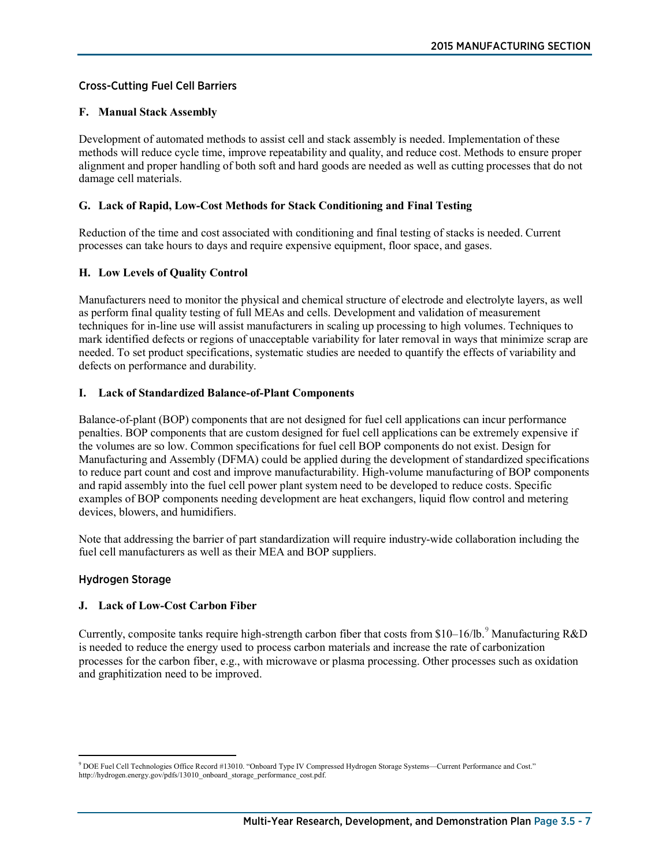#### Cross-Cutting Fuel Cell Barriers

#### **F. Manual Stack Assembly**

Development of automated methods to assist cell and stack assembly is needed. Implementation of these methods will reduce cycle time, improve repeatability and quality, and reduce cost. Methods to ensure proper alignment and proper handling of both soft and hard goods are needed as well as cutting processes that do not damage cell materials.

#### **G. Lack of Rapid, Low-Cost Methods for Stack Conditioning and Final Testing**

Reduction of the time and cost associated with conditioning and final testing of stacks is needed. Current processes can take hours to days and require expensive equipment, floor space, and gases.

#### **H. Low Levels of Quality Control**

Manufacturers need to monitor the physical and chemical structure of electrode and electrolyte layers, as well as perform final quality testing of full MEAs and cells. Development and validation of measurement techniques for in-line use will assist manufacturers in scaling up processing to high volumes. Techniques to mark identified defects or regions of unacceptable variability for later removal in ways that minimize scrap are needed. To set product specifications, systematic studies are needed to quantify the effects of variability and defects on performance and durability.

#### **I. Lack of Standardized Balance-of-Plant Components**

Balance-of-plant (BOP) components that are not designed for fuel cell applications can incur performance penalties. BOP components that are custom designed for fuel cell applications can be extremely expensive if the volumes are so low. Common specifications for fuel cell BOP components do not exist. Design for Manufacturing and Assembly (DFMA) could be applied during the development of standardized specifications to reduce part count and cost and improve manufacturability. High-volume manufacturing of BOP components and rapid assembly into the fuel cell power plant system need to be developed to reduce costs. Specific examples of BOP components needing development are heat exchangers, liquid flow control and metering devices, blowers, and humidifiers.

Note that addressing the barrier of part standardization will require industry-wide collaboration including the fuel cell manufacturers as well as their MEA and BOP suppliers.

#### Hydrogen Storage

#### **J. Lack of Low-Cost Carbon Fiber**

Currently, composite tanks require high-strength carbon fiber that costs from \$10–16/lb. [9](#page-6-0) Manufacturing R&D is needed to reduce the energy used to process carbon materials and increase the rate of carbonization processes for the carbon fiber, e.g., with microwave or plasma processing. Other processes such as oxidation and graphitization need to be improved.

<span id="page-6-0"></span> <sup>9</sup> DOE Fuel Cell Technologies Office Record #13010. "Onboard Type IV Compressed Hydrogen Storage Systems—Current Performance and Cost." [http://hydrogen.energy.gov/pdfs/13010\\_onboard\\_storage\\_performance\\_cost.pdf.](http://hydrogen.energy.gov/pdfs/13010_onboard_storage_performance_cost.pdf)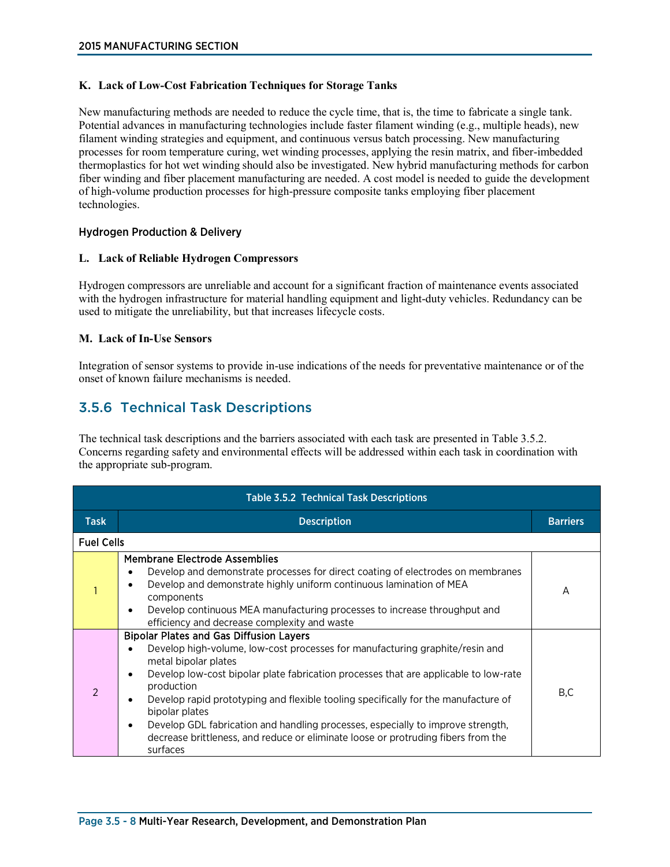#### **K. Lack of Low-Cost Fabrication Techniques for Storage Tanks**

New manufacturing methods are needed to reduce the cycle time, that is, the time to fabricate a single tank. Potential advances in manufacturing technologies include faster filament winding (e.g., multiple heads), new filament winding strategies and equipment, and continuous versus batch processing. New manufacturing processes for room temperature curing, wet winding processes, applying the resin matrix, and fiber-imbedded thermoplastics for hot wet winding should also be investigated. New hybrid manufacturing methods for carbon fiber winding and fiber placement manufacturing are needed. A cost model is needed to guide the development of high-volume production processes for high-pressure composite tanks employing fiber placement technologies.

#### Hydrogen Production & Delivery

#### **L. Lack of Reliable Hydrogen Compressors**

Hydrogen compressors are unreliable and account for a significant fraction of maintenance events associated with the hydrogen infrastructure for material handling equipment and light-duty vehicles. Redundancy can be used to mitigate the unreliability, but that increases lifecycle costs.

#### **M. Lack of In-Use Sensors**

Integration of sensor systems to provide in-use indications of the needs for preventative maintenance or of the onset of known failure mechanisms is needed.

# 3.5.6 Technical Task Descriptions

The technical task descriptions and the barriers associated with each task are presented in Table 3.5.2. Concerns regarding safety and environmental effects will be addressed within each task in coordination with the appropriate sub-program.

| <b>Table 3.5.2 Technical Task Descriptions</b> |                                                                                                                                                                                                                                                                                                                                                                                                                                                                                                                                                                                    |                 |
|------------------------------------------------|------------------------------------------------------------------------------------------------------------------------------------------------------------------------------------------------------------------------------------------------------------------------------------------------------------------------------------------------------------------------------------------------------------------------------------------------------------------------------------------------------------------------------------------------------------------------------------|-----------------|
| <b>Task</b>                                    | <b>Description</b>                                                                                                                                                                                                                                                                                                                                                                                                                                                                                                                                                                 | <b>Barriers</b> |
| <b>Fuel Cells</b>                              |                                                                                                                                                                                                                                                                                                                                                                                                                                                                                                                                                                                    |                 |
|                                                | <b>Membrane Electrode Assemblies</b><br>Develop and demonstrate processes for direct coating of electrodes on membranes<br>Develop and demonstrate highly uniform continuous lamination of MEA<br>components<br>Develop continuous MEA manufacturing processes to increase throughput and<br>efficiency and decrease complexity and waste                                                                                                                                                                                                                                          | A               |
| $\mathfrak{D}$                                 | <b>Bipolar Plates and Gas Diffusion Layers</b><br>Develop high-volume, low-cost processes for manufacturing graphite/resin and<br>metal bipolar plates<br>Develop low-cost bipolar plate fabrication processes that are applicable to low-rate<br>$\bullet$<br>production<br>Develop rapid prototyping and flexible tooling specifically for the manufacture of<br>bipolar plates<br>Develop GDL fabrication and handling processes, especially to improve strength,<br>$\bullet$<br>decrease brittleness, and reduce or eliminate loose or protruding fibers from the<br>surfaces | B,C             |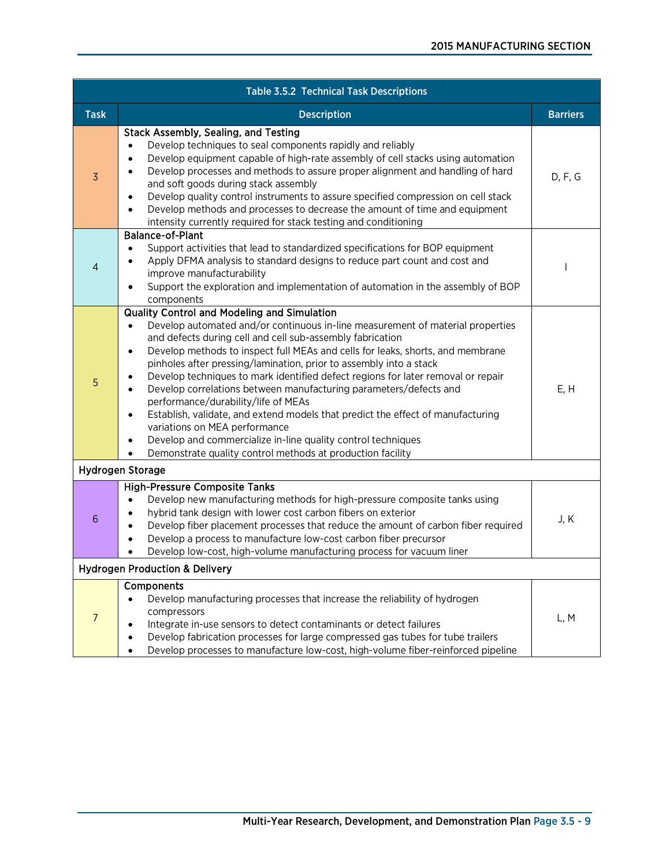|                 | <b>Table 3.5.2 Technical Task Descriptions</b>                                                                                                                                                                                                                                                                                                                                                                                                                                                                                                                                                                                                                                                                                                                                                                                                   |                 |
|-----------------|--------------------------------------------------------------------------------------------------------------------------------------------------------------------------------------------------------------------------------------------------------------------------------------------------------------------------------------------------------------------------------------------------------------------------------------------------------------------------------------------------------------------------------------------------------------------------------------------------------------------------------------------------------------------------------------------------------------------------------------------------------------------------------------------------------------------------------------------------|-----------------|
| <b>Task</b>     | <b>Description</b>                                                                                                                                                                                                                                                                                                                                                                                                                                                                                                                                                                                                                                                                                                                                                                                                                               | <b>Barriers</b> |
| $\overline{3}$  | Stack Assembly, Sealing, and Testing<br>Develop techniques to seal components rapidly and reliably<br>$\bullet$<br>Develop equipment capable of high-rate assembly of cell stacks using automation<br>$\bullet$<br>Develop processes and methods to assure proper alignment and handling of hard<br>and soft goods during stack assembly<br>Develop quality control instruments to assure specified compression on cell stack<br>$\bullet$<br>Develop methods and processes to decrease the amount of time and equipment<br>$\bullet$<br>intensity currently required for stack testing and conditioning                                                                                                                                                                                                                                         | D, F, G         |
| $\overline{4}$  | Balance-of-Plant<br>Support activities that lead to standardized specifications for BOP equipment<br>$\bullet$<br>Apply DFMA analysis to standard designs to reduce part count and cost and<br>٠<br>improve manufacturability<br>Support the exploration and implementation of automation in the assembly of BOP<br>$\bullet$<br>components                                                                                                                                                                                                                                                                                                                                                                                                                                                                                                      |                 |
| 5               | Quality Control and Modeling and Simulation<br>Develop automated and/or continuous in-line measurement of material properties<br>$\bullet$<br>and defects during cell and cell sub-assembly fabrication<br>Develop methods to inspect full MEAs and cells for leaks, shorts, and membrane<br>$\bullet$<br>pinholes after pressing/lamination, prior to assembly into a stack<br>Develop techniques to mark identified defect regions for later removal or repair<br>$\bullet$<br>Develop correlations between manufacturing parameters/defects and<br>performance/durability/life of MEAs<br>Establish, validate, and extend models that predict the effect of manufacturing<br>variations on MEA performance<br>Develop and commercialize in-line quality control techniques<br>٠<br>Demonstrate quality control methods at production facility | E, H            |
|                 | Hydrogen Storage                                                                                                                                                                                                                                                                                                                                                                                                                                                                                                                                                                                                                                                                                                                                                                                                                                 |                 |
| $6\phantom{1}6$ | <b>High-Pressure Composite Tanks</b><br>Develop new manufacturing methods for high-pressure composite tanks using<br>$\bullet$<br>hybrid tank design with lower cost carbon fibers on exterior<br>Develop fiber placement processes that reduce the amount of carbon fiber required<br>$\bullet$<br>Develop a process to manufacture low-cost carbon fiber precursor<br>٠<br>Develop low-cost, high-volume manufacturing process for vacuum liner                                                                                                                                                                                                                                                                                                                                                                                                | J, K            |
|                 | <b>Hydrogen Production &amp; Delivery</b>                                                                                                                                                                                                                                                                                                                                                                                                                                                                                                                                                                                                                                                                                                                                                                                                        |                 |
| $\overline{7}$  | Components<br>Develop manufacturing processes that increase the reliability of hydrogen<br>compressors<br>Integrate in-use sensors to detect contaminants or detect failures<br>Develop fabrication processes for large compressed gas tubes for tube trailers<br>Develop processes to manufacture low-cost, high-volume fiber-reinforced pipeline                                                                                                                                                                                                                                                                                                                                                                                                                                                                                               | L, M            |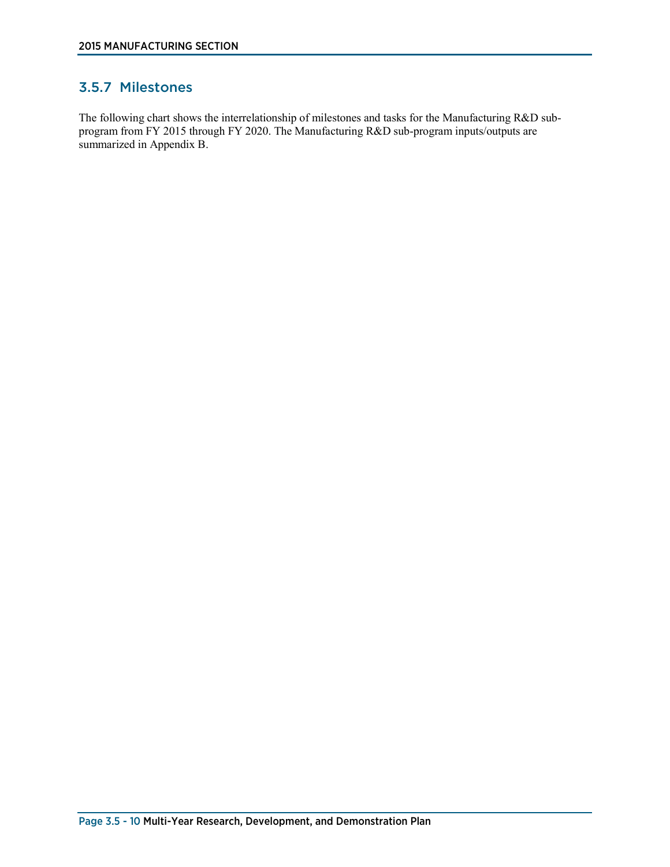## 3.5.7 Milestones

The following chart shows the interrelationship of milestones and tasks for the Manufacturing R&D subprogram from FY 2015 through FY 2020. The Manufacturing R&D sub-program inputs/outputs are summarized in Appendix B.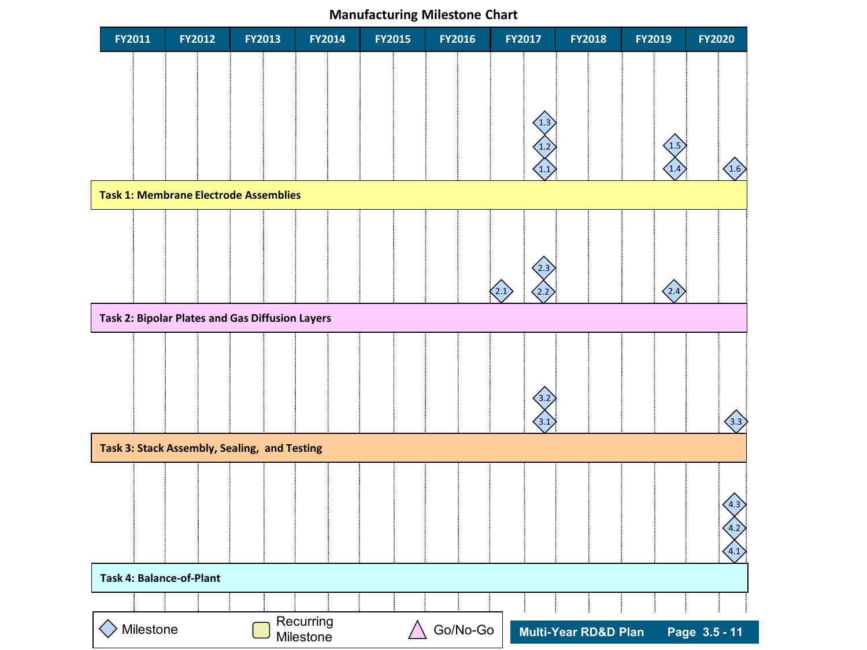**Manufacturing Milestone Chart**

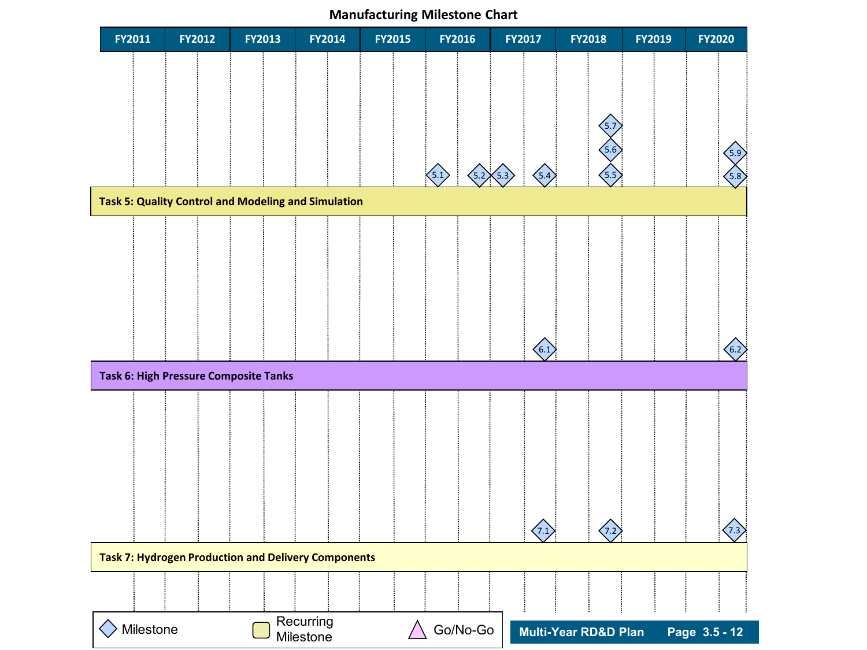**Manufacturing Milestone Chart**

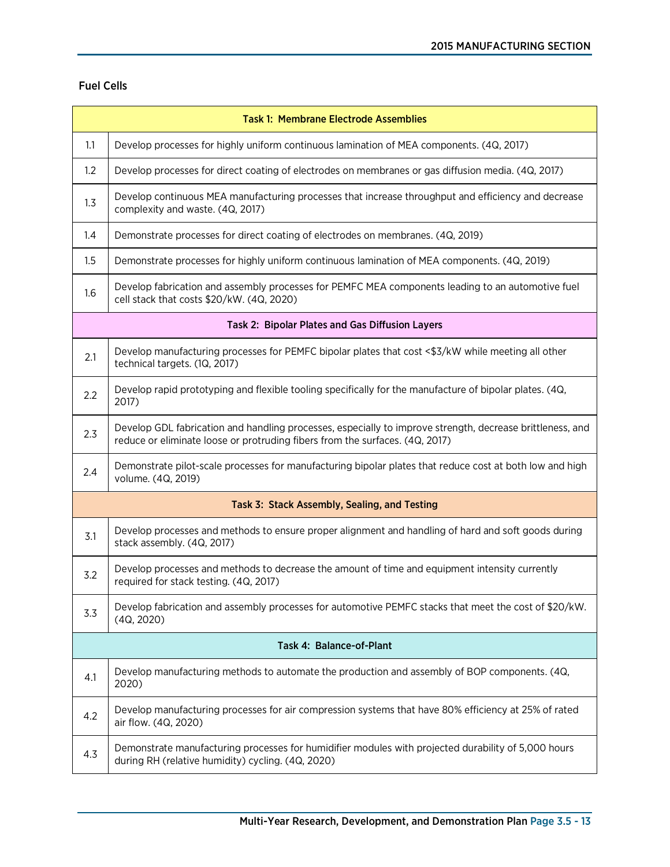### Fuel Cells

|     | <b>Task 1: Membrane Electrode Assemblies</b>                                                                                                                                              |  |
|-----|-------------------------------------------------------------------------------------------------------------------------------------------------------------------------------------------|--|
| 1.1 | Develop processes for highly uniform continuous lamination of MEA components. (4Q, 2017)                                                                                                  |  |
| 1.2 | Develop processes for direct coating of electrodes on membranes or gas diffusion media. (4Q, 2017)                                                                                        |  |
| 1.3 | Develop continuous MEA manufacturing processes that increase throughput and efficiency and decrease<br>complexity and waste. (4Q, 2017)                                                   |  |
| 1.4 | Demonstrate processes for direct coating of electrodes on membranes. (4Q, 2019)                                                                                                           |  |
| 1.5 | Demonstrate processes for highly uniform continuous lamination of MEA components. (4Q, 2019)                                                                                              |  |
| 1.6 | Develop fabrication and assembly processes for PEMFC MEA components leading to an automotive fuel<br>cell stack that costs \$20/kW. (4Q, 2020)                                            |  |
|     | Task 2: Bipolar Plates and Gas Diffusion Layers                                                                                                                                           |  |
| 2.1 | Develop manufacturing processes for PEMFC bipolar plates that cost <\$3/kW while meeting all other<br>technical targets. (1Q, 2017)                                                       |  |
| 2.2 | Develop rapid prototyping and flexible tooling specifically for the manufacture of bipolar plates. (4Q,<br>2017)                                                                          |  |
| 2.3 | Develop GDL fabrication and handling processes, especially to improve strength, decrease brittleness, and<br>reduce or eliminate loose or protruding fibers from the surfaces. (4Q, 2017) |  |
| 2.4 | Demonstrate pilot-scale processes for manufacturing bipolar plates that reduce cost at both low and high<br>volume. (4Q, 2019)                                                            |  |
|     | Task 3: Stack Assembly, Sealing, and Testing                                                                                                                                              |  |
| 3.1 | Develop processes and methods to ensure proper alignment and handling of hard and soft goods during<br>stack assembly. (4Q, 2017)                                                         |  |
| 3.2 | Develop processes and methods to decrease the amount of time and equipment intensity currently<br>required for stack testing. (4Q, 2017)                                                  |  |
| 3.3 | Develop fabrication and assembly processes for automotive PEMFC stacks that meet the cost of \$20/kW.<br>(4Q, 2020)                                                                       |  |
|     | Task 4: Balance-of-Plant                                                                                                                                                                  |  |
| 4.1 | Develop manufacturing methods to automate the production and assembly of BOP components. (4Q,<br>2020)                                                                                    |  |
| 4.2 | Develop manufacturing processes for air compression systems that have 80% efficiency at 25% of rated<br>air flow. (4Q, 2020)                                                              |  |
| 4.3 | Demonstrate manufacturing processes for humidifier modules with projected durability of 5,000 hours<br>during RH (relative humidity) cycling. (4Q, 2020)                                  |  |